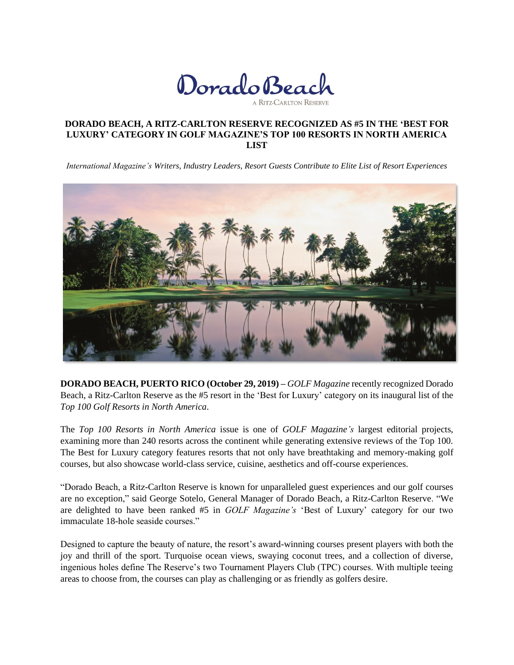

### **DORADO BEACH, A RITZ-CARLTON RESERVE RECOGNIZED AS #5 IN THE 'BEST FOR LUXURY' CATEGORY IN GOLF MAGAZINE'S TOP 100 RESORTS IN NORTH AMERICA LIST**

*International Magazine's Writers, Industry Leaders, Resort Guests Contribute to Elite List of Resort Experiences*



**DORADO BEACH, PUERTO RICO (October 29, 2019) –** *GOLF Magazine* recently recognized Dorado Beach, a Ritz-Carlton Reserve as the #5 resort in the 'Best for Luxury' category on its inaugural list of the *Top 100 Golf Resorts in North America*.

The *Top 100 Resorts in North America* issue is one of *GOLF Magazine's* largest editorial projects, examining more than 240 resorts across the continent while generating extensive reviews of the Top 100. The Best for Luxury category features resorts that not only have breathtaking and memory-making golf courses, but also showcase world-class service, cuisine, aesthetics and off-course experiences.

"Dorado Beach, a Ritz-Carlton Reserve is known for unparalleled guest experiences and our golf courses are no exception," said George Sotelo, General Manager of Dorado Beach, a Ritz-Carlton Reserve. "We are delighted to have been ranked #5 in *GOLF Magazine's* 'Best of Luxury' category for our two immaculate 18-hole seaside courses."

Designed to capture the beauty of nature, the resort's award-winning courses present players with both the joy and thrill of the sport. Turquoise ocean views, swaying coconut trees, and a collection of diverse, ingenious holes define The Reserve's two Tournament Players Club (TPC) courses. With multiple teeing areas to choose from, the courses can play as challenging or as friendly as golfers desire.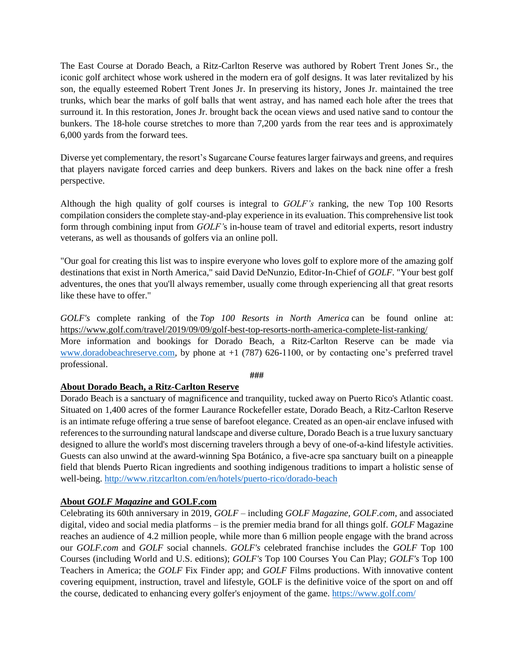The East Course at Dorado Beach, a Ritz-Carlton Reserve was authored by Robert Trent Jones Sr., the iconic golf architect whose work ushered in the modern era of golf designs. It was later revitalized by his son, the equally esteemed Robert Trent Jones Jr. In preserving its history, Jones Jr. maintained the tree trunks, which bear the marks of golf balls that went astray, and has named each hole after the trees that surround it. In this restoration, Jones Jr. brought back the ocean views and used native sand to contour the bunkers. The 18-hole course stretches to more than 7,200 yards from the rear tees and is approximately 6,000 yards from the forward tees.

Diverse yet complementary, the resort's Sugarcane Course features larger fairways and greens, and requires that players navigate forced carries and deep bunkers. Rivers and lakes on the back nine offer a fresh perspective.

Although the high quality of golf courses is integral to *GOLF's* ranking, the new Top 100 Resorts compilation considers the complete stay-and-play experience in its evaluation. This comprehensive list took form through combining input from *GOLF'*s in-house team of travel and editorial experts, resort industry veterans, as well as thousands of golfers via an online poll.

"Our goal for creating this list was to inspire everyone who loves golf to explore more of the amazing golf destinations that exist in North America," said David DeNunzio, Editor-In-Chief of *GOLF*. "Your best golf adventures, the ones that you'll always remember, usually come through experiencing all that great resorts like these have to offer."

*GOLF's* complete ranking of the *Top 100 Resorts in North America* can be found online at: <https://www.golf.com/travel/2019/09/09/golf-best-top-resorts-north-america-complete-list-ranking/> More information and bookings for Dorado Beach, a Ritz-Carlton Reserve can be made via [www.doradobeachreserve.com,](http://www.doradobeachreserve.com/) by phone at +1 (787) 626-1100, or by contacting one's preferred travel professional.

#### **###**

# **About Dorado Beach, a Ritz-Carlton Reserve**

Dorado Beach is a sanctuary of magnificence and tranquility, tucked away on Puerto Rico's Atlantic coast. Situated on 1,400 acres of the former Laurance Rockefeller estate, Dorado Beach, a Ritz-Carlton Reserve is an intimate refuge offering a true sense of barefoot elegance. Created as an open-air enclave infused with references to the surrounding natural landscape and diverse culture, Dorado Beach is a true luxury sanctuary designed to allure the world's most discerning travelers through a bevy of one-of-a-kind lifestyle activities. Guests can also unwind at the award-winning Spa Botánico, a five-acre spa sanctuary built on a pineapple field that blends Puerto Rican ingredients and soothing indigenous traditions to impart a holistic sense of well-being.<http://www.ritzcarlton.com/en/hotels/puerto-rico/dorado-beach>

# **About** *GOLF Magazine* **and GOLF.com**

Celebrating its 60th anniversary in 2019, *GOLF* – including *GOLF Magazine, GOLF.com*, and associated digital, video and social media platforms – is the premier media brand for all things golf. *GOLF* Magazine reaches an audience of 4.2 million people, while more than 6 million people engage with the brand across our *GOLF.com* and *GOLF* social channels. *GOLF's* celebrated franchise includes the *GOLF* Top 100 Courses (including World and U.S. editions); *GOLF's* Top 100 Courses You Can Play; *GOLF's* Top 100 Teachers in America; the *GOLF* Fix Finder app; and *GOLF* Films productions. With innovative content covering equipment, instruction, travel and lifestyle, GOLF is the definitive voice of the sport on and off the course, dedicated to enhancing every golfer's enjoyment of the game. <https://www.golf.com/>